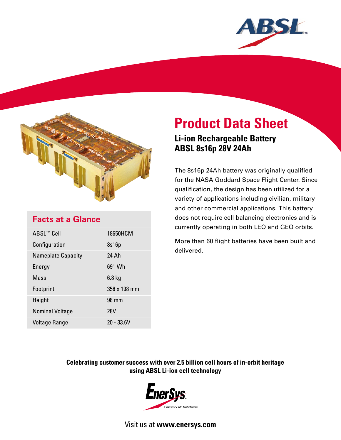



# **Facts at a Glance**

| ABSL™ Cell                | 18650HCM     |
|---------------------------|--------------|
| Configuration             | 8s16p        |
| <b>Nameplate Capacity</b> | 24 Ah        |
| Energy                    | 691 Wh       |
| Mass                      | $6.8$ kg     |
| Footprint                 | 358 x 198 mm |
| Height                    | 98 mm        |
| <b>Nominal Voltage</b>    | <b>28V</b>   |
| Voltage Range             | $20 - 33.6V$ |

# **Product Data Sheet**

# **Li-ion Rechargeable Battery ABSL 8s16p 28V 24Ah**

The 8s16p 24Ah battery was originally qualified for the NASA Goddard Space Flight Center. Since qualification, the design has been utilized for a variety of applications including civilian, military and other commercial applications. This battery does not require cell balancing electronics and is currently operating in both LEO and GEO orbits.

More than 60 flight batteries have been built and delivered.

## **Celebrating customer success with over 2.5 billion cell hours of in-orbit heritage using ABSL Li-ion cell technology**



Visit us at **www.enersys.com**